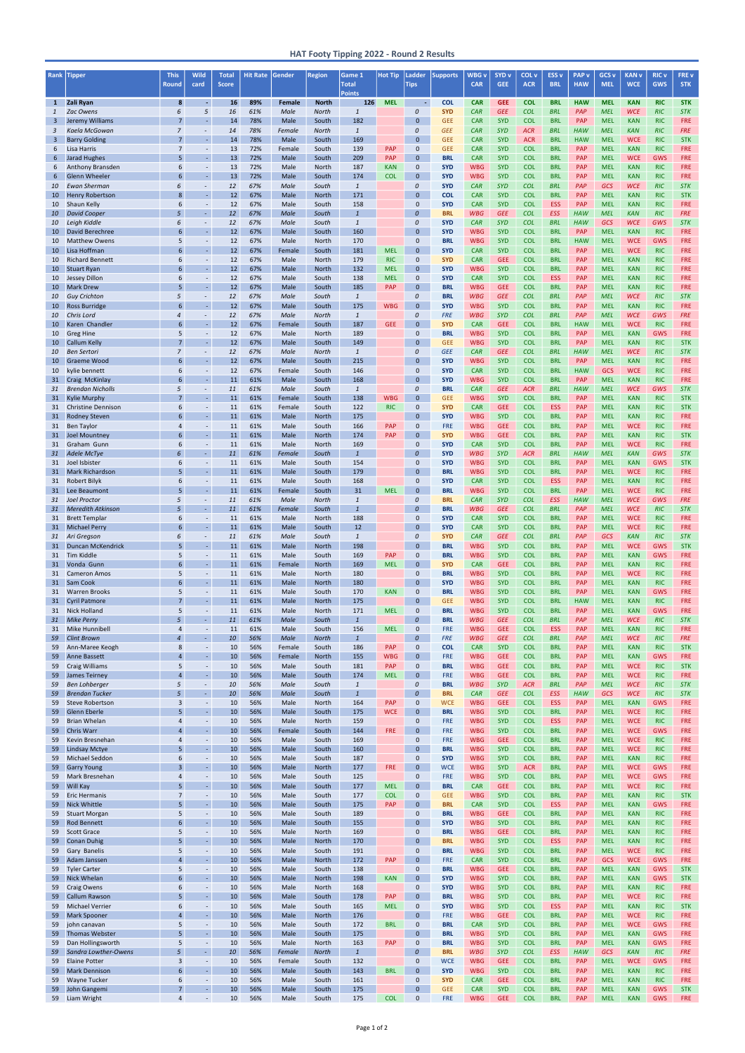| Rank         | <b>Tipper</b>                                   | <b>This</b><br><b>Round</b>      | Wild<br>card                         | <b>Total</b><br><b>Score</b> | <b>Hit Rate</b> | Gender         | <b>Region</b>         | Game 1<br><b>Total</b> | <b>Hot Tip</b>           | Ladder<br><b>Tips</b>            | <b>Supports</b>          | WBG <sub>v</sub><br><b>CAR</b> | <b>SYD v</b><br><b>GEE</b> | COL v<br><b>ACR</b>      | <b>ESS v</b><br><b>BRL</b> | <b>PAP</b> v<br><b>HAW</b> | GCS <sub>v</sub><br><b>MEL</b> | <b>KAN v</b><br><b>WCE</b> | <b>RIC v</b><br>GWS      | FRE v<br><b>STK</b>      |
|--------------|-------------------------------------------------|----------------------------------|--------------------------------------|------------------------------|-----------------|----------------|-----------------------|------------------------|--------------------------|----------------------------------|--------------------------|--------------------------------|----------------------------|--------------------------|----------------------------|----------------------------|--------------------------------|----------------------------|--------------------------|--------------------------|
| $\mathbf{1}$ | Zali Ryan                                       | 8                                | $\omega$                             | 16                           | 89%             | Female         | <b>North</b>          | <b>Points</b><br>126   | <b>MEL</b>               | $\sim$                           | <b>COL</b>               | <b>CAR</b>                     | <b>GEE</b>                 | <b>COL</b>               | <b>BRL</b>                 | <b>HAW</b>                 | <b>MEL</b>                     | <b>KAN</b>                 | <b>RIC</b>               | <b>STK</b>               |
| $\mathbf{1}$ | <b>Zac Owens</b>                                | 6                                | 5                                    | 16                           | 61%             | Male           | <b>North</b>          | $\overline{1}$         |                          | 0                                | <b>SYD</b>               | <b>CAR</b>                     | <b>GEE</b>                 | <b>COL</b>               | <b>BRL</b>                 | PAP                        | <b>MEL</b>                     | <b>WCE</b>                 | <b>RIC</b>               | <b>STK</b>               |
| 3<br>3       | Jeremy Williams<br>Kaela McGowan                | $\overline{7}$<br>$\overline{7}$ | $\sim$<br>÷.                         | 14<br>14                     | 78%<br>78%      | Male<br>Female | South<br><b>North</b> | 182<br>$\overline{1}$  |                          | $\mathbf{0}$<br>$\boldsymbol{0}$ | <b>GEE</b><br><b>GEE</b> | <b>CAR</b><br><b>CAR</b>       | <b>SYD</b><br><b>SYD</b>   | <b>COL</b><br><b>ACR</b> | <b>BRL</b><br><b>BRL</b>   | <b>PAP</b><br><b>HAW</b>   | <b>MEL</b><br><b>MEL</b>       | <b>KAN</b><br><b>KAN</b>   | <b>RIC</b><br><b>RIC</b> | <b>FRE</b><br><b>FRE</b> |
| 3            | <b>Barry Golding</b>                            | $\overline{7}$                   | ÷,                                   | 14                           | 78%             | Male           | South                 | 169                    |                          | $\mathbf{0}$                     | <b>GEE</b>               | <b>CAR</b>                     | <b>SYD</b>                 | <b>ACR</b>               | <b>BRL</b>                 | <b>HAW</b>                 | <b>MEL</b>                     | <b>WCE</b>                 | <b>RIC</b>               | <b>STK</b>               |
| 6            | Lisa Harris                                     | $\overline{7}$                   | $\overline{\phantom{a}}$             | 13                           | 72%             | Female         | South                 | 139                    | <b>PAP</b>               | $\mathbf 0$                      | <b>GEE</b>               | <b>CAR</b>                     | <b>SYD</b>                 | <b>COL</b>               | <b>BRL</b>                 | PAP                        | <b>MEL</b>                     | <b>KAN</b>                 | <b>RIC</b>               | <b>FRE</b>               |
| 6<br>6       | Jarad Hughes<br>Anthony Bransden                | 5<br>6                           | $\sim$<br>$\sim$                     | 13<br>13                     | 72%<br>72%      | Male<br>Male   | South<br>North        | 209<br>187             | <b>PAP</b><br><b>KAN</b> | $\mathbf{0}$<br>$\mathbf 0$      | <b>BRL</b><br><b>SYD</b> | <b>CAR</b><br><b>WBG</b>       | <b>SYD</b><br><b>SYD</b>   | <b>COL</b><br><b>COL</b> | <b>BRL</b><br><b>BRL</b>   | <b>PAP</b><br>PAP          | <b>MEL</b><br><b>MEL</b>       | <b>WCE</b><br><b>KAN</b>   | <b>GWS</b><br><b>RIC</b> | <b>FRE</b><br><b>FRE</b> |
| 6            | <b>Glenn Wheeler</b>                            | 6                                | ä,                                   | 13                           | 72%             | Male           | South                 | 174                    | <b>COL</b>               | $\mathbf{0}$                     | <b>SYD</b>               | <b>WBG</b>                     | <b>SYD</b>                 | <b>COL</b>               | <b>BRL</b>                 | PAP                        | <b>MEL</b>                     | <b>KAN</b>                 | <b>RIC</b>               | <b>FRE</b>               |
| 10<br>10     | <b>Ewan Sherman</b><br><b>Henry Robertson</b>   | 6<br>8                           | ÷.<br>$\omega$                       | 12<br>12                     | 67%<br>67%      | Male<br>Male   | South<br><b>North</b> | $\overline{1}$<br>171  |                          | $\mathcal{O}$<br>$\mathbf{0}$    | <b>SYD</b><br><b>COL</b> | <b>CAR</b><br><b>CAR</b>       | <b>SYD</b><br><b>SYD</b>   | <b>COL</b><br><b>COL</b> | <b>BRL</b><br><b>BRL</b>   | PAP<br><b>PAP</b>          | <b>GCS</b><br><b>MEL</b>       | <b>WCE</b><br><b>KAN</b>   | <b>RIC</b><br><b>RIC</b> | <b>STK</b><br><b>STK</b> |
| 10           | Shaun Kelly                                     | 6                                | $\overline{\phantom{a}}$             | 12                           | 67%             | Male           | South                 | 158                    |                          | $\mathbf 0$                      | <b>SYD</b>               | <b>CAR</b>                     | <b>SYD</b>                 | <b>COL</b>               | <b>ESS</b>                 | PAP                        | <b>MEL</b>                     | <b>KAN</b>                 | <b>RIC</b>               | <b>FRE</b>               |
| 10           | <b>David Cooper</b>                             | 5                                | $\omega$                             | 12                           | 67%             | Male           | South                 | $\mathbf{1}$           |                          | $\overline{0}$                   | <b>BRL</b>               | <b>WBG</b>                     | <b>GEE</b>                 | <b>COL</b>               | <b>ESS</b>                 | <b>HAW</b>                 | <b>MEL</b>                     | <b>KAN</b>                 | <b>RIC</b>               | <b>FRE</b>               |
| 10<br>10     | Leigh Kiddle<br>David Berechree                 | 6<br>6                           | $\overline{\phantom{a}}$<br>$\sim$   | 12<br>12                     | 67%<br>67%      | Male<br>Male   | South<br>South        | $\mathbf{1}$<br>160    |                          | $\overline{0}$<br>$\Omega$       | <b>SYD</b><br><b>SYD</b> | <b>CAR</b><br><b>WBG</b>       | <b>SYD</b><br><b>SYD</b>   | <b>COL</b><br><b>COL</b> | <b>BRL</b><br><b>BRL</b>   | <b>HAW</b><br><b>PAP</b>   | <b>GCS</b><br><b>MEL</b>       | <b>WCE</b><br><b>KAN</b>   | GWS<br><b>RIC</b>        | <b>STK</b><br><b>FRE</b> |
| 10           | <b>Matthew Owens</b>                            | 5                                | $\sim$                               | 12                           | 67%             | Male           | North                 | 170                    |                          | $\mathbf 0$                      | <b>BRL</b>               | <b>WBG</b>                     | <b>SYD</b>                 | <b>COL</b>               | <b>BRL</b>                 | <b>HAW</b>                 | <b>MEL</b>                     | <b>WCE</b>                 | <b>GWS</b>               | <b>FRE</b>               |
| 10           | Lisa Hoffman                                    | 6<br>6                           | $\sim$                               | 12<br>12                     | 67%<br>67%      | Female         | South                 | 181<br>179             | <b>MEL</b>               | $\mathbf{0}$<br>$\mathbf{0}$     | <b>SYD</b>               | <b>CAR</b>                     | <b>SYD</b>                 | <b>COL</b>               | <b>BRL</b>                 | <b>PAP</b>                 | <b>MEL</b>                     | <b>WCE</b>                 | <b>RIC</b>               | <b>FRE</b><br><b>FRE</b> |
| 10<br>10     | <b>Richard Bennett</b><br><b>Stuart Ryan</b>    | 6                                | $\sim$                               | 12                           | 67%             | Male<br>Male   | North<br><b>North</b> | 132                    | <b>RIC</b><br><b>MEL</b> | $\mathbf{0}$                     | <b>SYD</b><br><b>SYD</b> | <b>CAR</b><br><b>WBG</b>       | <b>GEE</b><br><b>SYD</b>   | <b>COL</b><br><b>COL</b> | <b>BRL</b><br><b>BRL</b>   | <b>PAP</b><br><b>PAP</b>   | <b>MEL</b><br><b>MEL</b>       | <b>KAN</b><br><b>KAN</b>   | <b>RIC</b><br><b>RIC</b> | <b>FRE</b>               |
| 10           | <b>Jessey Dillon</b>                            | 6                                | $\sim$                               | 12                           | 67%             | Male           | South                 | 138                    | <b>MEL</b>               | $\mathbf 0$                      | <b>SYD</b>               | <b>CAR</b>                     | <b>SYD</b>                 | <b>COL</b>               | <b>ESS</b>                 | PAP                        | <b>MEL</b>                     | <b>KAN</b>                 | <b>RIC</b>               | <b>FRE</b>               |
| 10<br>10     | <b>Mark Drew</b><br><b>Guy Crichton</b>         | 5<br>5                           | $\omega$<br>$\overline{\phantom{a}}$ | 12<br>12                     | 67%<br>67%      | Male<br>Male   | South<br>South        | 185<br>$\overline{1}$  | <b>PAP</b>               | $\mathbf{0}$<br>$\mathcal{O}$    | <b>BRL</b><br><b>BRL</b> | <b>WBG</b><br><b>WBG</b>       | <b>GEE</b><br><b>GEE</b>   | <b>COL</b><br><b>COL</b> | <b>BRL</b><br><b>BRL</b>   | <b>PAP</b><br>PAP          | <b>MEL</b><br><b>MEL</b>       | <b>KAN</b><br><b>WCE</b>   | <b>RIC</b><br><b>RIC</b> | <b>FRE</b><br><b>STK</b> |
| 10           | <b>Ross Burridge</b>                            | 6                                | $\omega$                             | 12                           | 67%             | Male           | South                 | 175                    | <b>WBG</b>               | $\mathbf{0}$                     | <b>SYD</b>               | <b>WBG</b>                     | <b>SYD</b>                 | <b>COL</b>               | <b>BRL</b>                 | <b>PAP</b>                 | <b>MEL</b>                     | <b>KAN</b>                 | <b>RIC</b>               | <b>FRE</b>               |
| 10           | Chris Lord                                      | $\overline{4}$                   | ÷,                                   | 12                           | 67%             | Male           | <b>North</b>          | $\mathbf{1}$           |                          | $\overline{0}$                   | <b>FRE</b>               | <b>WBG</b>                     | <b>SYD</b>                 | <b>COL</b>               | <b>BRL</b>                 | PAP                        | <b>MEL</b>                     | <b>WCE</b>                 | GWS                      | <b>FRE</b>               |
| 10<br>10     | Karen Chandler<br><b>Greg Hine</b>              | 6<br>5                           | $\omega$<br>$\overline{\phantom{a}}$ | 12<br>12                     | 67%<br>67%      | Female<br>Male | South<br>North        | 187<br>189             | <b>GEE</b>               | $\mathbf{0}$<br>$\mathbf{0}$     | <b>SYD</b><br><b>BRL</b> | <b>CAR</b><br><b>WBG</b>       | <b>GEE</b><br><b>SYD</b>   | <b>COL</b><br><b>COL</b> | <b>BRL</b><br><b>BRL</b>   | <b>HAW</b><br><b>PAP</b>   | <b>MEL</b><br><b>MEL</b>       | <b>WCE</b><br><b>KAN</b>   | <b>RIC</b><br><b>GWS</b> | <b>FRE</b><br><b>FRE</b> |
| 10           | <b>Callum Kelly</b>                             | $\overline{7}$                   | $\omega$                             | 12                           | 67%             | Male           | South                 | 149                    |                          | $\mathbf{0}$                     | <b>GEE</b>               | <b>WBG</b>                     | <b>SYD</b>                 | <b>COL</b>               | <b>BRL</b>                 | PAP                        | <b>MEL</b>                     | <b>KAN</b>                 | <b>RIC</b>               | <b>STK</b>               |
| 10<br>10     | <b>Ben Sertori</b><br><b>Graeme Wood</b>        | $\overline{7}$<br>6              | ÷.<br>$\omega$                       | 12<br>12                     | 67%<br>67%      | Male<br>Male   | North<br>South        | $\mathbf{1}$<br>215    |                          | $\overline{0}$<br>$\mathbf{0}$   | <b>GEE</b><br><b>SYD</b> | <b>CAR</b><br><b>WBG</b>       | <b>GEE</b><br><b>SYD</b>   | <b>COL</b><br><b>COL</b> | <b>BRL</b><br><b>BRL</b>   | <b>HAW</b><br>PAP          | <b>MEL</b><br><b>MEL</b>       | <b>WCE</b><br><b>KAN</b>   | <b>RIC</b><br><b>RIC</b> | <b>STK</b><br><b>FRE</b> |
| 10           | kylie bennett                                   | 6                                | $\overline{\phantom{a}}$             | 12                           | 67%             | Female         | South                 | 146                    |                          | $\mathbf 0$                      | <b>SYD</b>               | <b>CAR</b>                     | <b>SYD</b>                 | <b>COL</b>               | <b>BRL</b>                 | <b>HAW</b>                 | <b>GCS</b>                     | <b>WCE</b>                 | <b>RIC</b>               | <b>FRE</b>               |
| 31           | Craig McKinlay                                  | 6                                | $\omega$                             | 11                           | 61%             | Male           | South                 | 168                    |                          | $\mathbf{0}$                     | <b>SYD</b>               | <b>WBG</b>                     | <b>SYD</b>                 | <b>COL</b>               | <b>BRL</b>                 | PAP                        | <b>MEL</b>                     | <b>KAN</b>                 | <b>RIC</b>               | <b>FRE</b>               |
| 31<br>31     | <b>Brendan Nicholls</b><br><b>Kylie Murphy</b>  | 5<br>$\overline{7}$              | ÷,<br>$\omega$                       | 11<br>11                     | 61%<br>61%      | Male<br>Female | South<br>South        | $\overline{1}$<br>138  | <b>WBG</b>               | $\mathcal{O}$<br>$\mathbf 0$     | <b>BRL</b><br><b>GEE</b> | <b>CAR</b><br><b>WBG</b>       | <b>GEE</b><br><b>SYD</b>   | <b>ACR</b><br><b>COL</b> | <b>BRL</b><br><b>BRL</b>   | <b>HAW</b><br>PAP          | <b>MEL</b><br><b>MEL</b>       | <b>WCE</b><br><b>KAN</b>   | GWS<br><b>RIC</b>        | <b>STK</b><br><b>STK</b> |
| 31           | <b>Christine Dennison</b>                       | 6                                | $\overline{\phantom{a}}$             | 11                           | 61%             | Female         | South                 | 122                    | <b>RIC</b>               | $\mathbf 0$                      | <b>SYD</b>               | <b>CAR</b>                     | <b>GEE</b>                 | <b>COL</b>               | <b>ESS</b>                 | PAP                        | <b>MEL</b>                     | <b>KAN</b>                 | <b>RIC</b>               | <b>STK</b>               |
| 31           | <b>Rodney Steven</b>                            | 6                                | $\omega$                             | 11                           | 61%             | Male           | North                 | 175                    |                          | $\mathbf 0$                      | <b>SYD</b>               | <b>WBG</b>                     | <b>SYD</b>                 | <b>COL</b>               | <b>BRL</b>                 | <b>PAP</b>                 | <b>MEL</b>                     | <b>KAN</b>                 | <b>RIC</b>               | <b>FRE</b>               |
| 31<br>31     | <b>Ben Taylor</b><br><b>Joel Mountney</b>       | $\overline{4}$<br>6              | $\omega$                             | 11<br>11                     | 61%<br>61%      | Male<br>Male   | South<br>North        | 166<br>174             | <b>PAP</b><br><b>PAP</b> | $\mathbf 0$<br>$\mathbf 0$       | <b>FRE</b><br><b>SYD</b> | <b>WBG</b><br><b>WBG</b>       | <b>GEE</b><br><b>GEE</b>   | <b>COL</b><br><b>COL</b> | <b>BRL</b><br><b>BRL</b>   | <b>PAP</b><br><b>PAP</b>   | <b>MEL</b><br><b>MEL</b>       | <b>WCE</b><br><b>KAN</b>   | <b>RIC</b><br><b>RIC</b> | <b>FRE</b><br><b>STK</b> |
| 31           | Graham Gunn                                     | 6                                | $\overline{\phantom{a}}$             | 11                           | 61%             | Male           | North                 | 169                    |                          | $\mathbf 0$                      | <b>SYD</b>               | <b>CAR</b>                     | <b>SYD</b>                 | <b>COL</b>               | <b>BRL</b>                 | <b>PAP</b>                 | <b>MEL</b>                     | <b>WCE</b>                 | <b>RIC</b>               | <b>FRE</b>               |
| 31           | <b>Adele McTye</b><br>31 Joel Isbister          | 6<br>6                           | ÷,                                   | 11                           | 61%             | Female         | South                 |                        |                          | $\overline{0}$<br>$\Omega$       | <b>SYD</b><br><b>SYD</b> | <b>WBG</b>                     | <b>SYD</b><br><b>SYD</b>   | <b>ACR</b>               | <b>BRL</b>                 | HAW                        | <b>MEL</b>                     | <b>KAN</b>                 | GWS<br><b>GWS</b>        | <b>STK</b><br><b>STK</b> |
| 31           | <b>Mark Richardson</b>                          | 5                                | $\sim$                               | 11<br>11                     | 61%<br>61%      | Male<br>Male   | South<br>South        | 154<br>179             |                          | $\mathbf{0}$                     | <b>BRL</b>               | <b>WBG</b><br><b>WBG</b>       | <b>SYD</b>                 | <b>COL</b><br><b>COL</b> | <b>BRL</b><br><b>BRL</b>   | PAP<br><b>PAP</b>          | <b>MEL</b><br><b>MEL</b>       | <b>KAN</b><br><b>WCE</b>   | <b>RIC</b>               | <b>FRE</b>               |
| 31           | Robert Bilyk                                    | 6                                | $\sim$                               | 11                           | 61%             | Male           | South                 | 168                    |                          | $\mathbf 0$                      | <b>SYD</b>               | <b>CAR</b>                     | <b>SYD</b>                 | <b>COL</b>               | <b>ESS</b>                 | <b>PAP</b>                 | <b>MEL</b>                     | <b>KAN</b>                 | <b>RIC</b>               | <b>FRE</b>               |
| 31<br>31     | Lee Beaumont<br><b>Joel Proctor</b>             | 5<br>5                           | $\omega$<br>$\blacksquare$           | 11<br>11                     | 61%<br>61%      | Female<br>Male | South<br><b>North</b> | 31<br>$\mathbf{1}$     | <b>MEL</b>               | $\mathbf{0}$<br>$\mathcal{O}$    | <b>BRL</b><br><b>BRL</b> | <b>WBG</b><br><b>CAR</b>       | <b>SYD</b><br><b>SYD</b>   | <b>COL</b><br><b>COL</b> | <b>BRL</b><br><b>ESS</b>   | <b>PAP</b><br>HAW          | <b>MEL</b><br><b>MEL</b>       | <b>WCE</b><br><b>WCE</b>   | <b>RIC</b><br>GWS        | <b>FRE</b><br><b>FRE</b> |
| 31           | <b>Meredith Atkinson</b>                        | 5 <sup>1</sup>                   | $\omega$                             | 11                           | 61%             | Female         | South                 | $\overline{1}$         |                          | $\overline{0}$                   | <b>BRL</b>               | <b>WBG</b>                     | <b>GEE</b>                 | <b>COL</b>               | <b>BRL</b>                 | PAP                        | <b>MEL</b>                     | <b>WCE</b>                 | <b>RIC</b>               | <b>STK</b>               |
| 31           | <b>Brett Templar</b>                            | 6                                |                                      | 11                           | 61%             | Male           | North                 | 188                    |                          | $\mathbf 0$                      | <b>SYD</b>               | <b>CAR</b>                     | <b>SYD</b>                 | <b>COL</b>               | <b>BRL</b>                 | <b>PAP</b>                 | <b>MEL</b>                     | <b>WCE</b>                 | <b>RIC</b>               | <b>FRE</b>               |
| 31<br>31     | <b>Michael Perry</b><br>Ari Gregson             | 6<br>6                           | $\omega$<br>÷.                       | 11<br>11                     | 61%<br>61%      | Male<br>Male   | South<br>South        | 12<br>$\mathbf{1}$     |                          | $\mathbf{0}$<br>$\overline{0}$   | <b>SYD</b><br><b>SYD</b> | <b>CAR</b><br><b>CAR</b>       | <b>SYD</b><br><b>GEE</b>   | <b>COL</b><br><b>COL</b> | <b>BRL</b><br><b>BRL</b>   | PAP<br>PAP                 | <b>MEL</b><br><b>GCS</b>       | <b>WCE</b><br><b>KAN</b>   | <b>RIC</b><br><b>RIC</b> | <b>FRE</b><br><b>STK</b> |
| 31           | <b>Duncan McKendrick</b>                        | 5                                | $\sim$                               | 11                           | 61%             | Male           | <b>North</b>          | 198                    |                          | $\mathbf{0}$                     | <b>BRL</b>               | <b>WBG</b>                     | <b>SYD</b>                 | <b>COL</b>               | <b>BRL</b>                 | <b>PAP</b>                 | <b>MEL</b>                     | <b>WCE</b>                 | <b>GWS</b>               | <b>STK</b>               |
| 31<br>31     | Tim Kiddle<br>Vonda Gunn                        | 5<br>6                           | $\sim$<br>ä,                         | 11<br>11                     | 61%<br>61%      | Male<br>Female | South<br>North        | 169<br>169             | <b>PAP</b><br><b>MEL</b> | $\mathbf 0$<br>$\mathbf{0}$      | <b>BRL</b><br><b>SYD</b> | <b>WBG</b><br><b>CAR</b>       | <b>SYD</b><br><b>GEE</b>   | <b>COL</b><br><b>COL</b> | <b>BRL</b><br><b>BRL</b>   | <b>PAP</b><br><b>PAP</b>   | <b>MEL</b><br><b>MEL</b>       | <b>KAN</b><br><b>KAN</b>   | <b>GWS</b><br><b>RIC</b> | <b>FRE</b><br><b>FRE</b> |
| 31           | <b>Cameron Amos</b>                             | 5                                | $\sim$                               | 11                           | 61%             | Male           | <b>North</b>          | 180                    |                          | $\mathbf{0}$                     | <b>BRL</b>               | <b>WBG</b>                     | <b>SYD</b>                 | <b>COL</b>               | <b>BRL</b>                 | <b>PAP</b>                 | <b>MEL</b>                     | <b>WCE</b>                 | <b>RIC</b>               | <b>FRE</b>               |
| 31           | Sam Cook                                        | 6                                | $\omega$                             | 11                           | 61%             | Male           | <b>North</b>          | 180                    |                          | $\mathbf{0}$                     | <b>SYD</b>               | <b>WBG</b>                     | <b>SYD</b>                 | <b>COL</b>               | <b>BRL</b>                 | <b>PAP</b>                 | <b>MEL</b>                     | <b>KAN</b>                 | <b>RIC</b>               | <b>FRE</b>               |
| 31<br>31     | <b>Warren Brooks</b><br><b>Cyril Patmore</b>    | 5<br>$\overline{7}$              | $\sim$<br>÷,                         | 11<br>11                     | 61%<br>61%      | Male<br>Male   | South<br>North        | 170<br>175             | <b>KAN</b>               | $\mathbf 0$<br>$\mathbf{0}$      | <b>BRL</b><br><b>GEE</b> | <b>WBG</b><br><b>WBG</b>       | <b>SYD</b><br><b>SYD</b>   | <b>COL</b><br><b>COL</b> | <b>BRL</b><br><b>BRL</b>   | PAP<br><b>HAW</b>          | <b>MEL</b><br><b>MEL</b>       | <b>KAN</b><br><b>KAN</b>   | <b>GWS</b><br><b>RIC</b> | <b>FRE</b><br><b>FRE</b> |
| 31           | <b>Nick Holland</b>                             | 5                                | $\sim$                               | 11                           | 61%             | Male           | North                 | 171                    | <b>MEL</b>               | $\mathbf 0$                      | <b>BRL</b>               | <b>WBG</b>                     | <b>SYD</b>                 | <b>COL</b>               | <b>BRL</b>                 | PAP                        | <b>MEL</b>                     | <b>KAN</b>                 | <b>GWS</b>               | <b>FRE</b>               |
| 31<br>31     | <b>Mike Perry</b><br>Mike Hunnibell             | 5<br>$\overline{4}$              | $\omega_{\rm c}$<br>$\sim$           | 11<br>11                     | 61%<br>61%      | Male<br>Male   | South<br>South        | $\mathbf{1}$<br>156    | <b>MEL</b>               | $\overline{0}$<br>$\mathbf 0$    | <b>BRL</b><br><b>FRE</b> | <b>WBG</b><br><b>WBG</b>       | <b>GEE</b><br><b>GEE</b>   | <b>COL</b><br><b>COL</b> | <b>BRL</b><br><b>ESS</b>   | PAP<br>PAP                 | <b>MEL</b><br><b>MEL</b>       | <b>WCE</b><br><b>KAN</b>   | <b>RIC</b><br><b>RIC</b> | <b>STK</b><br><b>FRE</b> |
| 59           | <b>Clint Brown</b>                              | $\overline{4}$                   | ÷.                                   | 10                           | 56%             | Male           | <b>North</b>          | $\mathbf{1}$           |                          | $\boldsymbol{0}$                 | <b>FRE</b>               | <b>WBG</b>                     | <b>GEE</b>                 | <b>COL</b>               | <b>BRL</b>                 | PAP                        | <b>MEL</b>                     | <b>WCE</b>                 | <b>RIC</b>               | <b>FRE</b>               |
| 59           | Ann-Maree Keogh                                 | 8                                | $\sim$                               | 10                           | 56%             | Female         | South                 | 186                    | <b>PAP</b>               | $\mathbf 0$                      | <b>COL</b>               | <b>CAR</b>                     | <b>SYD</b>                 | <b>COL</b>               | <b>BRL</b>                 | PAP                        | <b>MEL</b>                     | <b>KAN</b>                 | <b>RIC</b>               | <b>STK</b>               |
| 59<br>59     | <b>Anne Bassett</b><br><b>Craig Williams</b>    | $\overline{a}$<br>5              | $\omega$<br>$\overline{\phantom{a}}$ | 10<br>10                     | 56%<br>56%      | Female<br>Male | <b>North</b><br>South | 155<br>181             | <b>WBG</b><br><b>PAP</b> | $\mathbf{0}$<br>$\mathbf 0$      | <b>FRE</b><br><b>BRL</b> | <b>WBG</b><br><b>WBG</b>       | <b>GEE</b><br><b>GEE</b>   | <b>COL</b><br><b>COL</b> | <b>BRL</b><br><b>BRL</b>   | <b>PAP</b><br>PAP          | <b>MEL</b><br><b>MEL</b>       | <b>KAN</b><br><b>WCE</b>   | <b>GWS</b><br><b>RIC</b> | <b>FRE</b><br><b>STK</b> |
| 59           | <b>James Teirney</b>                            | $\overline{a}$                   | $\mathbb{L}$                         | 10                           | 56%             | Male           | South                 | 174                    | <b>MEL</b>               | $\mathbf{0}$                     | <b>FRE</b>               | <b>WBG</b>                     | <b>GEE</b>                 | <b>COL</b>               | <b>BRL</b>                 | <b>PAP</b>                 | <b>MEL</b>                     | <b>WCE</b>                 | <b>RIC</b>               | <b>FRE</b>               |
| 59           | <b>Ben Lohberger</b>                            | 5<br>5                           | ÷.<br>÷.                             | 10                           | 56%             | Male           | South                 | $\overline{1}$         |                          | $\overline{0}$                   | <b>BRL</b>               | <b>WBG</b>                     | <b>SYD</b>                 | <b>ACR</b>               | <b>BRL</b>                 | PAP                        | <b>MEL</b>                     | <b>WCE</b>                 | <b>RIC</b>               | <b>STK</b>               |
| 59<br>59     | <b>Brendan Tucker</b><br><b>Steve Robertson</b> | 3                                | $\sim$                               | 10<br>10                     | 56%<br>56%      | Male<br>Male   | South<br>North        | $\overline{1}$<br>164  | <b>PAP</b>               | $\overline{0}$<br>$\mathbf 0$    | <b>BRL</b><br><b>WCE</b> | <b>CAR</b><br><b>WBG</b>       | <b>GEE</b><br><b>GEE</b>   | <b>COL</b><br><b>COL</b> | <b>ESS</b><br><b>ESS</b>   | HAW<br><b>PAP</b>          | <b>GCS</b><br><b>MEL</b>       | <b>WCE</b><br><b>KAN</b>   | <b>RIC</b><br><b>GWS</b> | <b>STK</b><br><b>FRE</b> |
| 59           | <b>Glenn Eberle</b>                             | 5                                | $\sim$                               | 10                           | 56%             | Male           | South                 | 175                    | <b>WCE</b>               | $\mathbf{0}$                     | <b>BRL</b>               | <b>WBG</b>                     | <b>SYD</b>                 | <b>COL</b>               | <b>BRL</b>                 | <b>PAP</b>                 | <b>MEL</b>                     | <b>WCE</b>                 | <b>RIC</b>               | <b>FRE</b>               |
| 59<br>59     | <b>Brian Whelan</b><br>Chris Warr               | $\overline{4}$<br>$\overline{a}$ | $\sim$                               | 10<br>10                     | 56%<br>56%      | Male<br>Female | North<br>South        | 159<br>144             | FRE                      | $\mathbf{0}$<br>$\mathbf{0}$     | <b>FRE</b><br><b>FRE</b> | <b>WBG</b><br><b>WBG</b>       | <b>SYD</b><br><b>SYD</b>   | <b>COL</b><br><b>COL</b> | <b>ESS</b><br><b>BRL</b>   | <b>PAP</b><br><b>PAP</b>   | <b>MEL</b><br><b>MEL</b>       | <b>WCE</b><br><b>WCE</b>   | <b>RIC</b><br><b>GWS</b> | <b>FRE</b><br><b>FRE</b> |
| 59           | Kevin Bresnehan                                 | $\overline{4}$                   |                                      | 10                           | 56%             | Male           | South                 | 169                    |                          | $\mathbf{0}$                     | <b>FRE</b>               | <b>WBG</b>                     | <b>GEE</b>                 | <b>COL</b>               | <b>BRL</b>                 | PAP                        | <b>MEL</b>                     | <b>WCE</b>                 | <b>RIC</b>               | <b>FRE</b>               |
| 59           | <b>Lindsay Mctye</b>                            | 5                                | ä,                                   | 10                           | 56%             | Male           | South                 | 160                    |                          | $\mathbf{0}$                     | <b>BRL</b>               | <b>WBG</b>                     | <b>SYD</b>                 | <b>COL</b>               | <b>BRL</b>                 | <b>PAP</b>                 | <b>MEL</b>                     | <b>WCE</b>                 | <b>RIC</b>               | <b>FRE</b>               |
| 59<br>59     | Michael Seddon<br><b>Garry Young</b>            | 6<br>$\overline{3}$              | $\sim$<br>$\omega$                   | 10<br>10                     | 56%<br>56%      | Male<br>Male   | South<br><b>North</b> | 187<br>177             | FRE                      | $\mathbf{0}$<br>$\mathbf{0}$     | <b>SYD</b><br><b>WCE</b> | <b>WBG</b><br><b>WBG</b>       | <b>SYD</b><br><b>SYD</b>   | <b>COL</b><br><b>ACR</b> | <b>BRL</b><br><b>BRL</b>   | <b>PAP</b><br>PAP          | <b>MEL</b><br><b>MEL</b>       | <b>KAN</b><br><b>WCE</b>   | <b>RIC</b><br><b>GWS</b> | <b>FRE</b><br><b>FRE</b> |
| 59           | Mark Bresnehan                                  | $\overline{4}$                   |                                      | 10                           | 56%             | Male           | South                 | 125                    |                          | $\mathbf 0$                      | <b>FRE</b>               | <b>WBG</b>                     | <b>SYD</b>                 | <b>COL</b>               | <b>BRL</b>                 | <b>PAP</b>                 | <b>MEL</b>                     | <b>WCE</b>                 | <b>GWS</b>               | <b>FRE</b>               |
| 59<br>59     | Will Kay<br><b>Eric Hermanis</b>                | 5<br>$\overline{7}$              | $\omega$<br>$\sim$                   | 10<br>10                     | 56%<br>56%      | Male<br>Male   | South<br>South        | 177<br>177             | <b>MEL</b><br><b>COL</b> | $\mathbf{0}$<br>$\mathbf 0$      | <b>BRL</b><br><b>GEE</b> | <b>CAR</b><br><b>WBG</b>       | <b>GEE</b><br><b>SYD</b>   | <b>COL</b><br><b>COL</b> | <b>BRL</b><br><b>BRL</b>   | <b>PAP</b><br>PAP          | <b>MEL</b><br><b>MEL</b>       | <b>WCE</b><br><b>KAN</b>   | <b>RIC</b><br><b>RIC</b> | <b>FRE</b><br><b>STK</b> |
| 59           | <b>Nick Whittle</b>                             | 5                                | $\sim$                               | 10                           | 56%             | Male           | South                 | 175                    | <b>PAP</b>               | $\mathbf{0}$                     | <b>BRL</b>               | <b>CAR</b>                     | <b>SYD</b>                 | <b>COL</b>               | <b>ESS</b>                 | PAP                        | <b>MEL</b>                     | <b>KAN</b>                 | <b>GWS</b>               | <b>FRE</b>               |
| 59           | <b>Stuart Morgan</b>                            | 5                                |                                      | 10                           | 56%             | Male           | South                 | 189                    |                          | $\mathbf{0}$                     | <b>BRL</b>               | <b>WBG</b>                     | <b>GEE</b>                 | <b>COL</b>               | <b>BRL</b>                 | <b>PAP</b>                 | <b>MEL</b>                     | <b>KAN</b>                 | <b>RIC</b>               | <b>FRE</b>               |
| 59<br>59     | <b>Rod Bennett</b><br><b>Scott Grace</b>        | 6<br>5                           | $\omega$<br>$\sim$                   | 10<br>10                     | 56%<br>56%      | Male<br>Male   | South<br>North        | 155<br>169             |                          | $\mathbf{0}$<br>$\mathbf 0$      | <b>SYD</b><br><b>BRL</b> | <b>WBG</b><br><b>WBG</b>       | <b>SYD</b><br><b>GEE</b>   | <b>COL</b><br><b>COL</b> | <b>BRL</b><br><b>BRL</b>   | <b>PAP</b><br><b>PAP</b>   | <b>MEL</b><br><b>MEL</b>       | <b>KAN</b><br><b>KAN</b>   | <b>RIC</b><br><b>RIC</b> | <b>FRE</b><br><b>FRE</b> |
| 59           | <b>Conan Duhig</b>                              | 5                                | $\sim$                               | 10                           | 56%             | Male           | North                 | 170                    |                          | $\mathbf{0}$                     | <b>BRL</b>               | <b>WBG</b>                     | <b>SYD</b>                 | <b>COL</b>               | <b>ESS</b>                 | <b>PAP</b>                 | <b>MEL</b>                     | <b>KAN</b>                 | <b>RIC</b>               | <b>FRE</b>               |
| 59           | Gary Banelis                                    | 5                                |                                      | 10                           | 56%             | Male           | South                 | 191                    |                          | $\mathbf{0}$<br>$\Omega$         | <b>BRL</b>               | <b>WBG</b>                     | <b>SYD</b>                 | <b>COL</b>               | <b>BRL</b>                 | <b>PAP</b>                 | <b>MEL</b>                     | <b>WCE</b>                 | <b>RIC</b>               | <b>FRE</b>               |
| 59           | 59 Adam Janssen<br><b>Tyler Carter</b>          | $\Delta$<br>5                    | $\overline{\phantom{a}}$             | 10<br>10                     | 56%<br>56%      | Male<br>Male   | <b>North</b><br>South | 172<br>138             | <b>PAP</b>               | $\mathbf 0$                      | <b>FRE</b><br><b>BRL</b> | <b>CAR</b><br><b>WBG</b>       | <b>SYD</b><br><b>GEE</b>   | <b>COL</b><br><b>COL</b> | <b>BRL</b><br><b>BRL</b>   | <b>PAP</b><br><b>PAP</b>   | <b>GCS</b><br><b>MEL</b>       | <b>WCE</b><br><b>KAN</b>   | <b>GWS</b><br><b>GWS</b> | <b>FRE</b><br><b>STK</b> |
| 59           | Nick Whelan                                     | $6\overline{6}$                  | $\omega$                             | 10                           | 56%             | Male           | North                 | 198                    | <b>KAN</b>               | $\mathbf{0}$                     | <b>SYD</b>               | <b>WBG</b>                     | <b>SYD</b>                 | <b>COL</b>               | <b>BRL</b>                 | PAP                        | <b>MEL</b>                     | <b>KAN</b>                 | <b>GWS</b>               | <b>STK</b>               |
| 59<br>59     | <b>Craig Owens</b><br><b>Callum Rawson</b>      | 6<br>5                           | $\overline{\phantom{a}}$<br>$\omega$ | 10<br>10                     | 56%<br>56%      | Male<br>Male   | North<br>South        | 168<br>178             | <b>PAP</b>               | $\mathbf 0$<br>$\mathbf{0}$      | <b>SYD</b><br><b>BRL</b> | <b>WBG</b><br><b>WBG</b>       | <b>SYD</b><br><b>SYD</b>   | <b>COL</b><br><b>COL</b> | <b>BRL</b><br><b>BRL</b>   | <b>PAP</b><br><b>PAP</b>   | <b>MEL</b><br><b>MEL</b>       | <b>KAN</b><br><b>WCE</b>   | <b>RIC</b><br><b>RIC</b> | <b>FRE</b><br><b>FRE</b> |
| 59           | <b>Michael Verrier</b>                          | 6                                | $\overline{\phantom{a}}$             | 10                           | 56%             | Male           | South                 | 165                    | <b>MEL</b>               | $\mathbf 0$                      | <b>SYD</b>               | <b>WBG</b>                     | <b>SYD</b>                 | <b>COL</b>               | <b>ESS</b>                 | PAP                        | <b>MEL</b>                     | <b>KAN</b>                 | <b>RIC</b>               | <b>STK</b>               |
| 59           | <b>Mark Spooner</b>                             | $\overline{4}$                   | $\omega$                             | 10                           | 56%             | Male           | North                 | 176                    |                          | $\mathbf{0}$                     | <b>FRE</b>               | <b>WBG</b>                     | <b>GEE</b>                 | <b>COL</b>               | <b>BRL</b>                 | PAP                        | <b>MEL</b>                     | <b>WCE</b>                 | <b>RIC</b>               | <b>FRE</b>               |
| 59<br>59     | john canavan<br><b>Thomas Webster</b>           | 5<br>5                           | $\overline{\phantom{a}}$<br>$\omega$ | 10<br>10                     | 56%<br>56%      | Male<br>Male   | South<br>South        | 172<br>175             | <b>BRL</b>               | $\mathbf 0$<br>$\mathbf 0$       | <b>BRL</b><br><b>BRL</b> | <b>CAR</b><br><b>WBG</b>       | <b>SYD</b><br><b>SYD</b>   | <b>COL</b><br><b>COL</b> | <b>BRL</b><br><b>BRL</b>   | <b>PAP</b><br><b>PAP</b>   | <b>MEL</b><br><b>MEL</b>       | <b>WCE</b><br><b>KAN</b>   | <b>GWS</b><br><b>GWS</b> | <b>FRE</b><br><b>FRE</b> |
| 59           | Dan Hollingsworth                               | 5                                | $\overline{\phantom{a}}$             | 10                           | 56%             | Male           | North                 | 163                    | PAP                      | $\mathbf 0$                      | <b>BRL</b>               | <b>WBG</b>                     | <b>SYD</b>                 | <b>COL</b>               | <b>BRL</b>                 | PAP                        | <b>MEL</b>                     | <b>KAN</b>                 | <b>GWS</b>               | <b>FRE</b>               |
| 59           | Sandra Lowther-Owens                            | 5 <sup>5</sup>                   | $\omega_{\rm c}$                     | 10                           | 56%             | Female         | <b>North</b>          | $\mathbf{1}$           |                          | $\pmb{\mathit{O}}$               | <b>BRL</b>               | <b>WBG</b>                     | <b>SYD</b>                 | <b>COL</b>               | <b>ESS</b>                 | <b>HAW</b>                 | <b>GCS</b>                     | <b>KAN</b>                 | <b>RIC</b>               | <b>FRE</b>               |
| 59<br>59     | <b>Elaine Potter</b><br><b>Mark Dennison</b>    | $\mathbf{3}$<br>$6\phantom{a}$   | $\overline{\phantom{a}}$<br>$\omega$ | 10<br>10                     | 56%<br>56%      | Female<br>Male | South<br>South        | 132<br>143             | <b>BRL</b>               | $\mathbf 0$<br>$\mathbf{0}$      | <b>WCE</b><br><b>SYD</b> | <b>WBG</b><br><b>WBG</b>       | <b>GEE</b><br><b>SYD</b>   | <b>COL</b><br><b>COL</b> | <b>BRL</b><br><b>BRL</b>   | <b>PAP</b><br>PAP          | <b>MEL</b><br><b>MEL</b>       | <b>WCE</b><br><b>KAN</b>   | <b>GWS</b><br><b>RIC</b> | <b>FRE</b><br><b>FRE</b> |
| 59           | <b>Wayne Tucker</b>                             | 6                                | $\overline{\phantom{a}}$             | 10                           | 56%             | Male           | South                 | 161                    |                          | $\mathbf 0$                      | <b>SYD</b>               | <b>CAR</b>                     | <b>GEE</b>                 | <b>COL</b>               | <b>BRL</b>                 | PAP                        | <b>MEL</b>                     | <b>KAN</b>                 | <b>RIC</b>               | <b>FRE</b>               |
| 59           | John Gangemi<br>59 Liam Wright                  | $\overline{7}$<br>$\overline{4}$ | $\sim$<br>$\sim$                     | 10<br>10                     | 56%<br>56%      | Male<br>Male   | South<br>South        | 175<br>175             | <b>COL</b>               | $\mathbf{0}$<br>$\mathbf 0$      | <b>GEE</b><br><b>FRE</b> | <b>CAR</b><br><b>WBG</b>       | <b>SYD</b><br><b>GEE</b>   | <b>COL</b><br><b>COL</b> | <b>BRL</b><br><b>BRL</b>   | PAP<br>PAP                 | <b>MEL</b><br><b>MEL</b>       | <b>KAN</b><br><b>KAN</b>   | <b>GWS</b><br><b>GWS</b> | <b>STK</b><br><b>FRE</b> |

## HAT Footy Tipping 2022 - Round 2 Results